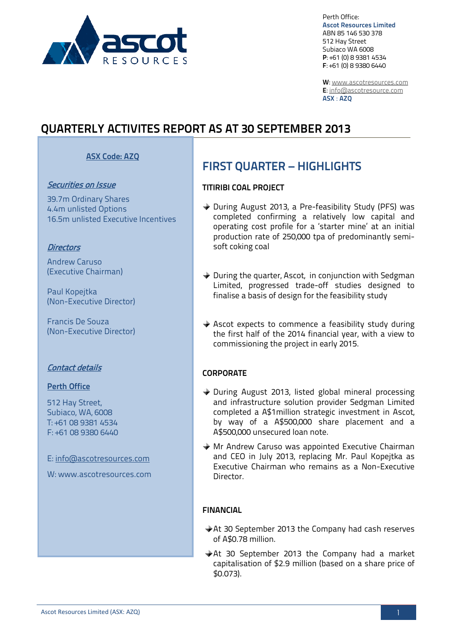

Perth Office: **Ascot Resources Limited** ABN 85 146 530 378 512 Hay Street Subiaco WA 6008 **P**: +61 (0) 8 9381 4534 **F**: +61 (0) 8 9380 6440

**W**: [www.ascotresources.com](http://www.ascotresources.com/) **E**[: info@ascotresource.com](mailto:info@ascotresource.com) **ASX** : **AZQ**

# **QUARTERLY ACTIVITES REPORT AS AT 30 SEPTEMBER 2013**

### **ASX Code: AZQ**

#### Securities on Issue

39.7m Ordinary Shares 4.4m unlisted Options 16.5m unlisted Executive Incentives

#### **Directors**

Andrew Caruso (Executive Chairman)

Paul Kopejtka (Non-Executive Director)

Francis De Souza (Non-Executive Director)

#### Contact details

#### **Perth Office**

512 Hay Street, Subiaco, WA, 6008 T: +61 08 9381 4534 F: +61 08 9380 6440

E: info@ascotresources.com

W: www.ascotresources.com

# **FIRST QUARTER – HIGHLIGHTS**

#### **TITIRIBI COAL PROJECT**

- During August 2013, a Pre-feasibility Study (PFS) was completed confirming a relatively low capital and operating cost profile for a 'starter mine' at an initial production rate of 250,000 tpa of predominantly semisoft coking coal
- ◆ During the quarter, Ascot, in conjunction with Sedgman Limited, progressed trade-off studies designed to finalise a basis of design for the feasibility study
- $\triangle$  Ascot expects to commence a feasibility study during the first half of the 2014 financial year, with a view to commissioning the project in early 2015.

#### **CORPORATE**

- ◆ During August 2013, listed global mineral processing and infrastructure solution provider Sedgman Limited completed a A\$1million strategic investment in Ascot, by way of a A\$500,000 share placement and a A\$500,000 unsecured loan note.
- Mr Andrew Caruso was appointed Executive Chairman and CEO in July 2013, replacing Mr. Paul Kopejtka as Executive Chairman who remains as a Non-Executive Director.

#### **FINANCIAL**

- At 30 September 2013 the Company had cash reserves of A\$0.78 million.
- At 30 September 2013 the Company had a market capitalisation of \$2.9 million (based on a share price of \$0.073).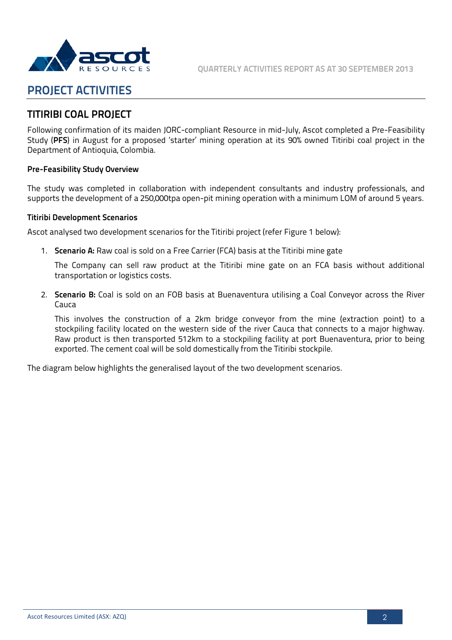

# **PROJECT ACTIVITIES**

### **TITIRIBI COAL PROJECT**

Following confirmation of its maiden JORC-compliant Resource in mid-July, Ascot completed a Pre-Feasibility Study (**PFS**) in August for a proposed 'starter' mining operation at its 90% owned Titiribi coal project in the Department of Antioquia, Colombia.

#### **Pre-Feasibility Study Overview**

The study was completed in collaboration with independent consultants and industry professionals, and supports the development of a 250,000tpa open-pit mining operation with a minimum LOM of around 5 years.

#### **Titiribi Development Scenarios**

Ascot analysed two development scenarios for the Titiribi project (refer Figure 1 below):

1. **Scenario A:** Raw coal is sold on a Free Carrier (FCA) basis at the Titiribi mine gate

The Company can sell raw product at the Titiribi mine gate on an FCA basis without additional transportation or logistics costs.

2. **Scenario B:** Coal is sold on an FOB basis at Buenaventura utilising a Coal Conveyor across the River Cauca

This involves the construction of a 2km bridge conveyor from the mine (extraction point) to a stockpiling facility located on the western side of the river Cauca that connects to a major highway. Raw product is then transported 512km to a stockpiling facility at port Buenaventura, prior to being exported. The cement coal will be sold domestically from the Titiribi stockpile.

The diagram below highlights the generalised layout of the two development scenarios.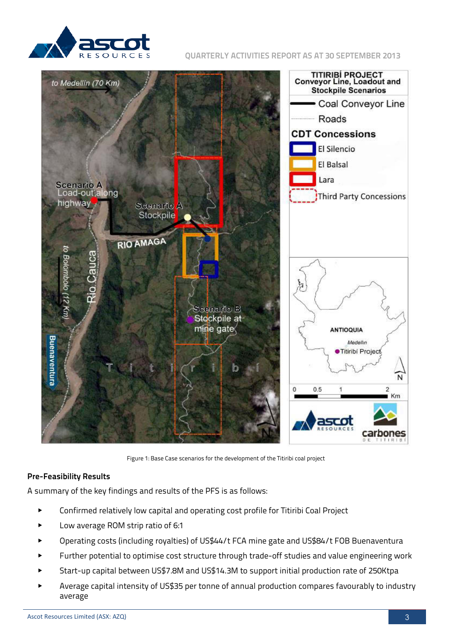

**QUARTERLY ACTIVITIES REPORT AS AT 30 SEPTEMBER 2013**



Figure 1: Base Case scenarios for the development of the Titiribi coal project

#### **Pre-Feasibility Results**

A summary of the key findings and results of the PFS is as follows:

- Confirmed relatively low capital and operating cost profile for Titiribi Coal Project
- Low average ROM strip ratio of 6:1
- Operating costs (including royalties) of US\$44/t FCA mine gate and US\$84/t FOB Buenaventura
- Further potential to optimise cost structure through trade-off studies and value engineering work
- Start-up capital between US\$7.8M and US\$14.3M to support initial production rate of 250Ktpa
- Average capital intensity of US\$35 per tonne of annual production compares favourably to industry average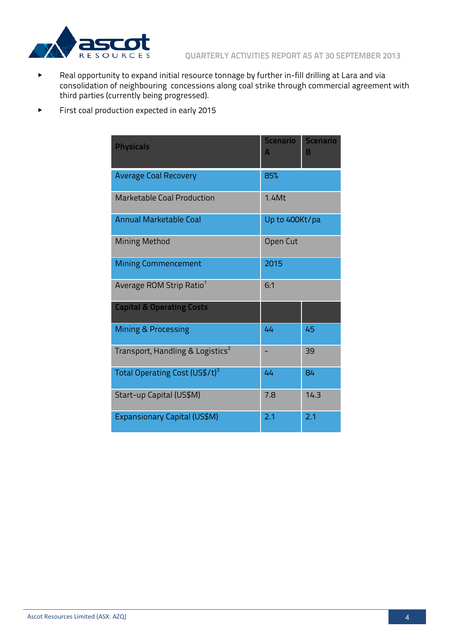

- ▶ Real opportunity to expand initial resource tonnage by further in-fill drilling at Lara and via consolidation of neighbouring concessions along coal strike through commercial agreement with third parties (currently being progressed).
- ▶ First coal production expected in early 2015

| <b>Physicals</b>                             | <b>Scenario</b><br>A | <b>Scenario</b><br>B |
|----------------------------------------------|----------------------|----------------------|
| <b>Average Coal Recovery</b>                 | 85%                  |                      |
| Marketable Coal Production                   | $1.4$ Mt             |                      |
| <b>Annual Marketable Coal</b>                | Up to 400Kt/pa       |                      |
| <b>Mining Method</b>                         | Open Cut             |                      |
| <b>Mining Commencement</b>                   | 2015                 |                      |
| Average ROM Strip Ratio <sup>1</sup>         | 6:1                  |                      |
| <b>Capital &amp; Operating Costs</b>         |                      |                      |
| <b>Mining &amp; Processing</b>               | 44                   | 45                   |
| Transport, Handling & Logistics <sup>2</sup> |                      | 39                   |
| Total Operating Cost (US\$/t) <sup>3</sup>   | 44                   | 84                   |
| Start-up Capital (US\$M)                     | 7.8                  | 14.3                 |
| Expansionary Capital (US\$M)                 | 2.1                  | 2.1                  |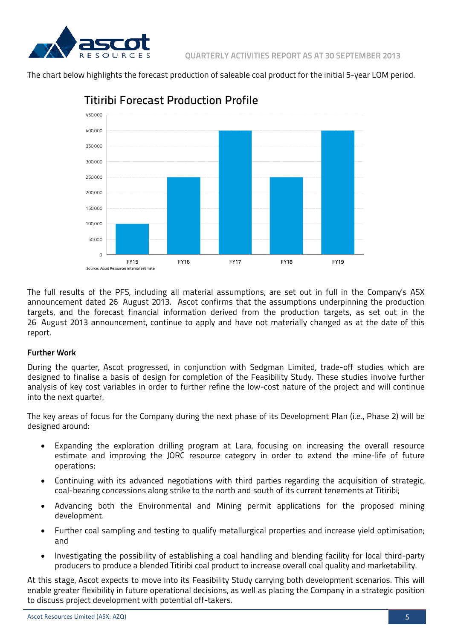

The chart below highlights the forecast production of saleable coal product for the initial 5-year LOM period.



## Titiribi Forecast Production Profile

The full results of the PFS, including all material assumptions, are set out in full in the Company's ASX announcement dated 26 August 2013. Ascot confirms that the assumptions underpinning the production targets, and the forecast financial information derived from the production targets, as set out in the 26 August 2013 announcement, continue to apply and have not materially changed as at the date of this report.

#### **Further Work**

During the quarter, Ascot progressed, in conjunction with Sedgman Limited, trade-off studies which are designed to finalise a basis of design for completion of the Feasibility Study. These studies involve further analysis of key cost variables in order to further refine the low-cost nature of the project and will continue into the next quarter.

The key areas of focus for the Company during the next phase of its Development Plan (i.e., Phase 2) will be designed around:

- Expanding the exploration drilling program at Lara, focusing on increasing the overall resource estimate and improving the JORC resource category in order to extend the mine-life of future operations;
- Continuing with its advanced negotiations with third parties regarding the acquisition of strategic, coal-bearing concessions along strike to the north and south of its current tenements at Titiribi;
- Advancing both the Environmental and Mining permit applications for the proposed mining development.
- Further coal sampling and testing to qualify metallurgical properties and increase yield optimisation; and
- Investigating the possibility of establishing a coal handling and blending facility for local third-party producers to produce a blended Titiribi coal product to increase overall coal quality and marketability.

At this stage, Ascot expects to move into its Feasibility Study carrying both development scenarios. This will enable greater flexibility in future operational decisions, as well as placing the Company in a strategic position to discuss project development with potential off-takers.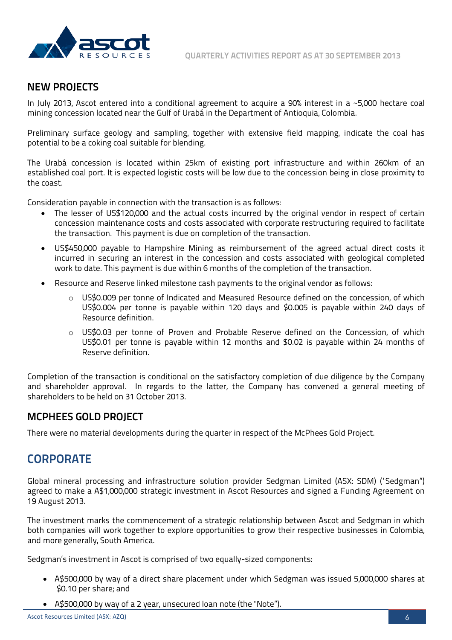



### **NEW PROJECTS**

In July 2013, Ascot entered into a conditional agreement to acquire a 90% interest in a ~5,000 hectare coal mining concession located near the Gulf of Urabá in the Department of Antioquia, Colombia.

Preliminary surface geology and sampling, together with extensive field mapping, indicate the coal has potential to be a coking coal suitable for blending.

The Urabá concession is located within 25km of existing port infrastructure and within 260km of an established coal port. It is expected logistic costs will be low due to the concession being in close proximity to the coast.

Consideration payable in connection with the transaction is as follows:

- The lesser of US\$120,000 and the actual costs incurred by the original vendor in respect of certain concession maintenance costs and costs associated with corporate restructuring required to facilitate the transaction. This payment is due on completion of the transaction.
- US\$450,000 payable to Hampshire Mining as reimbursement of the agreed actual direct costs it incurred in securing an interest in the concession and costs associated with geological completed work to date. This payment is due within 6 months of the completion of the transaction.
- Resource and Reserve linked milestone cash payments to the original vendor as follows:
	- o US\$0.009 per tonne of Indicated and Measured Resource defined on the concession, of which US\$0.004 per tonne is payable within 120 days and \$0.005 is payable within 240 days of Resource definition.
	- o US\$0.03 per tonne of Proven and Probable Reserve defined on the Concession, of which US\$0.01 per tonne is payable within 12 months and \$0.02 is payable within 24 months of Reserve definition.

Completion of the transaction is conditional on the satisfactory completion of due diligence by the Company and shareholder approval. In regards to the latter, the Company has convened a general meeting of shareholders to be held on 31 October 2013.

### **MCPHEES GOLD PROJECT**

There were no material developments during the quarter in respect of the McPhees Gold Project.

# **CORPORATE**

Global mineral processing and infrastructure solution provider Sedgman Limited (ASX: SDM) ("Sedgman") agreed to make a A\$1,000,000 strategic investment in Ascot Resources and signed a Funding Agreement on 19 August 2013.

The investment marks the commencement of a strategic relationship between Ascot and Sedgman in which both companies will work together to explore opportunities to grow their respective businesses in Colombia, and more generally, South America.

Sedgman's investment in Ascot is comprised of two equally-sized components:

- A\$500,000 by way of a direct share placement under which Sedgman was issued 5,000,000 shares at \$0.10 per share; and
- A\$500,000 by way of a 2 year, unsecured loan note (the "Note").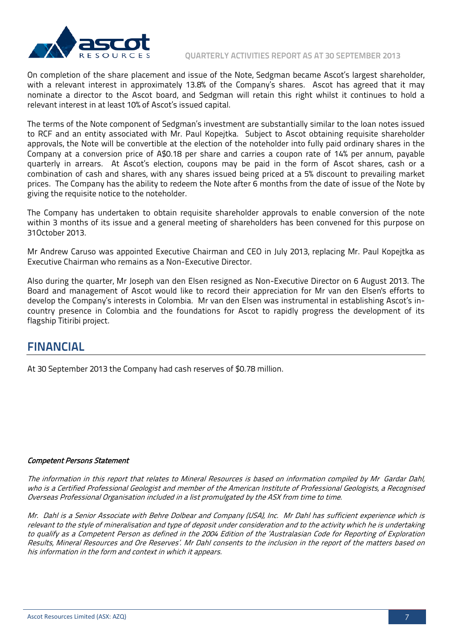

On completion of the share placement and issue of the Note, Sedgman became Ascot's largest shareholder, with a relevant interest in approximately 13.8% of the Company's shares. Ascot has agreed that it may nominate a director to the Ascot board, and Sedgman will retain this right whilst it continues to hold a relevant interest in at least 10% of Ascot's issued capital.

The terms of the Note component of Sedgman's investment are substantially similar to the loan notes issued to RCF and an entity associated with Mr. Paul Kopejtka. Subject to Ascot obtaining requisite shareholder approvals, the Note will be convertible at the election of the noteholder into fully paid ordinary shares in the Company at a conversion price of A\$0.18 per share and carries a coupon rate of 14% per annum, payable quarterly in arrears. At Ascot's election, coupons may be paid in the form of Ascot shares, cash or a combination of cash and shares, with any shares issued being priced at a 5% discount to prevailing market prices. The Company has the ability to redeem the Note after 6 months from the date of issue of the Note by giving the requisite notice to the noteholder.

The Company has undertaken to obtain requisite shareholder approvals to enable conversion of the note within 3 months of its issue and a general meeting of shareholders has been convened for this purpose on 31October 2013.

Mr Andrew Caruso was appointed Executive Chairman and CEO in July 2013, replacing Mr. Paul Kopejtka as Executive Chairman who remains as a Non-Executive Director.

Also during the quarter, Mr Joseph van den Elsen resigned as Non-Executive Director on 6 August 2013. The Board and management of Ascot would like to record their appreciation for Mr van den Elsen's efforts to develop the Company's interests in Colombia. Mr van den Elsen was instrumental in establishing Ascot's incountry presence in Colombia and the foundations for Ascot to rapidly progress the development of its flagship Titiribi project.

## **FINANCIAL**

At 30 September 2013 the Company had cash reserves of \$0.78 million.

#### Competent Persons Statement

The information in this report that relates to Mineral Resources is based on information compiled by Mr Gardar Dahl, who is a Certified Professional Geologist and member of the American Institute of Professional Geologists, a Recognised Overseas Professional Organisation included in a list promulgated by the ASX from time to time.

Mr. Dahl is a Senior Associate with Behre Dolbear and Company (USA), Inc. Mr Dahl has sufficient experience which is relevant to the style of mineralisation and type of deposit under consideration and to the activity which he is undertaking to qualify as a Competent Person as defined in the 2004 Edition of the 'Australasian Code for Reporting of Exploration Results, Mineral Resources and Ore Reserves'. Mr Dahl consents to the inclusion in the report of the matters based on his information in the form and context in which it appears.